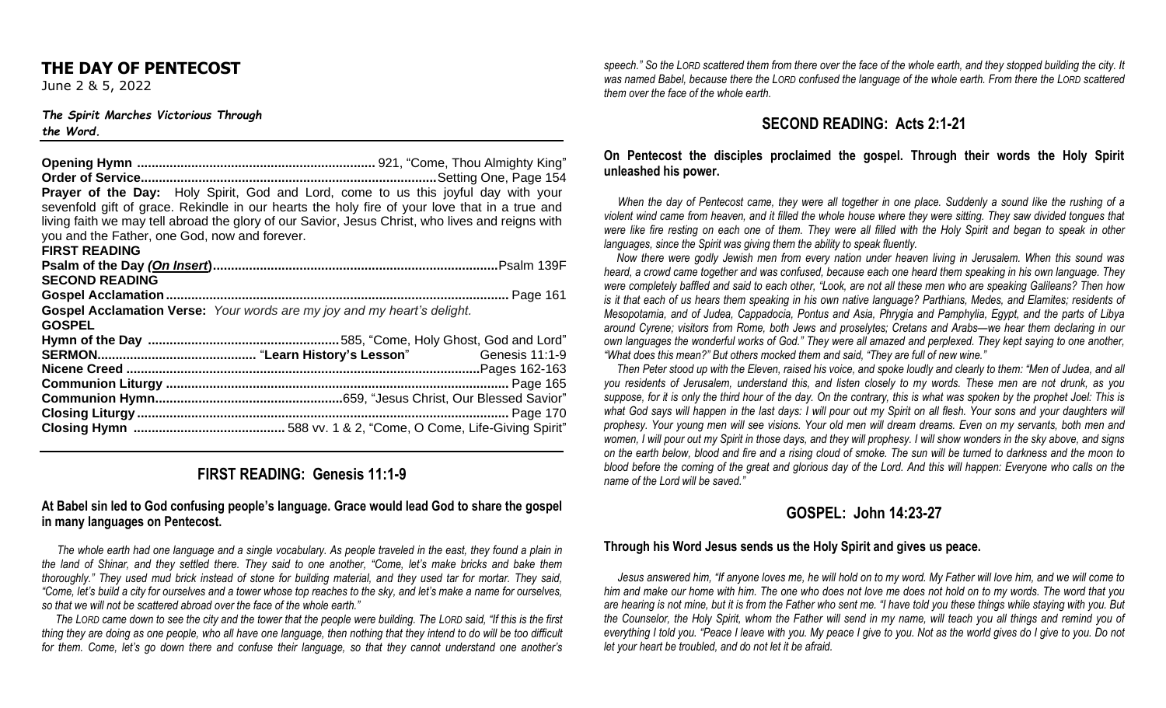#### **THE DAY OF PENTECOST**

June 2 & 5, 2022

*The Spirit Marches Victorious Through the Word.*

**Opening Hymn ..................................................................** 921, "Come, Thou Almighty King" **Order of Service..................................................................................**Setting One, Page 154 **Prayer of the Day:** Holy Spirit, God and Lord, come to us this joyful day with your sevenfold gift of grace. Rekindle in our hearts the holy fire of your love that in a true and living faith we may tell abroad the glory of our Savior, Jesus Christ, who lives and reigns with you and the Father, one God, now and forever. **FIRST READING Psalm of the Day** *(On Insert***)...............................................................................**Psalm 139F

| <b>Gospel Acclamation Verse:</b> Your words are my joy and my heart's delight. |  |
|--------------------------------------------------------------------------------|--|
|                                                                                |  |
|                                                                                |  |
|                                                                                |  |
|                                                                                |  |
|                                                                                |  |
|                                                                                |  |
|                                                                                |  |
|                                                                                |  |
|                                                                                |  |

## **FIRST READING: Genesis 11:1-9**

#### **At Babel sin led to God confusing people's language. Grace would lead God to share the gospel in many languages on Pentecost.**

 *The whole earth had one language and a single vocabulary. As people traveled in the east, they found a plain in the land of Shinar, and they settled there. They said to one another, "Come, let's make bricks and bake them thoroughly." They used mud brick instead of stone for building material, and they used tar for mortar. They said, "Come, let's build a city for ourselves and a tower whose top reaches to the sky, and let's make a name for ourselves, so that we will not be scattered abroad over the face of the whole earth."* 

 *The LORD came down to see the city and the tower that the people were building. The LORD said, "If this is the first thing they are doing as one people, who all have one language, then nothing that they intend to do will be too difficult for them. Come, let's go down there and confuse their language, so that they cannot understand one another's*  *speech." So the LORD scattered them from there over the face of the whole earth, and they stopped building the city. It was named Babel, because there the LORD confused the language of the whole earth. From there the LORD scattered them over the face of the whole earth.* 

## **SECOND READING: Acts 2:1-21**

#### **On Pentecost the disciples proclaimed the gospel. Through their words the Holy Spirit unleashed his power.**

 *When the day of Pentecost came, they were all together in one place. Suddenly a sound like the rushing of a violent wind came from heaven, and it filled the whole house where they were sitting. They saw divided tongues that*  were like fire resting on each one of them. They were all filled with the Holy Spirit and began to speak in other *languages, since the Spirit was giving them the ability to speak fluently.* 

 *Now there were godly Jewish men from every nation under heaven living in Jerusalem. When this sound was heard, a crowd came together and was confused, because each one heard them speaking in his own language. They were completely baffled and said to each other, "Look, are not all these men who are speaking Galileans? Then how is it that each of us hears them speaking in his own native language? Parthians, Medes, and Elamites; residents of Mesopotamia, and of Judea, Cappadocia, Pontus and Asia, Phrygia and Pamphylia, Egypt, and the parts of Libya around Cyrene; visitors from Rome, both Jews and proselytes; Cretans and Arabs—we hear them declaring in our own languages the wonderful works of God." They were all amazed and perplexed. They kept saying to one another, "What does this mean?" But others mocked them and said, "They are full of new wine."* 

 *Then Peter stood up with the Eleven, raised his voice, and spoke loudly and clearly to them: "Men of Judea, and all you residents of Jerusalem, understand this, and listen closely to my words. These men are not drunk, as you suppose, for it is only the third hour of the day. On the contrary, this is what was spoken by the prophet Joel: This is*  what God says will happen in the last days: I will pour out my Spirit on all flesh. Your sons and your daughters will *prophesy. Your young men will see visions. Your old men will dream dreams. Even on my servants, both men and women, I will pour out my Spirit in those days, and they will prophesy. I will show wonders in the sky above, and signs on the earth below, blood and fire and a rising cloud of smoke. The sun will be turned to darkness and the moon to blood before the coming of the great and glorious day of the Lord. And this will happen: Everyone who calls on the name of the Lord will be saved."*

## **GOSPEL: John 14:23-27**

#### **Through his Word Jesus sends us the Holy Spirit and gives us peace.**

 *Jesus answered him, "If anyone loves me, he will hold on to my word. My Father will love him, and we will come to him and make our home with him. The one who does not love me does not hold on to my words. The word that you are hearing is not mine, but it is from the Father who sent me. "I have told you these things while staying with you. But the Counselor, the Holy Spirit, whom the Father will send in my name, will teach you all things and remind you of everything I told you. "Peace I leave with you. My peace I give to you. Not as the world gives do I give to you. Do not let your heart be troubled, and do not let it be afraid.*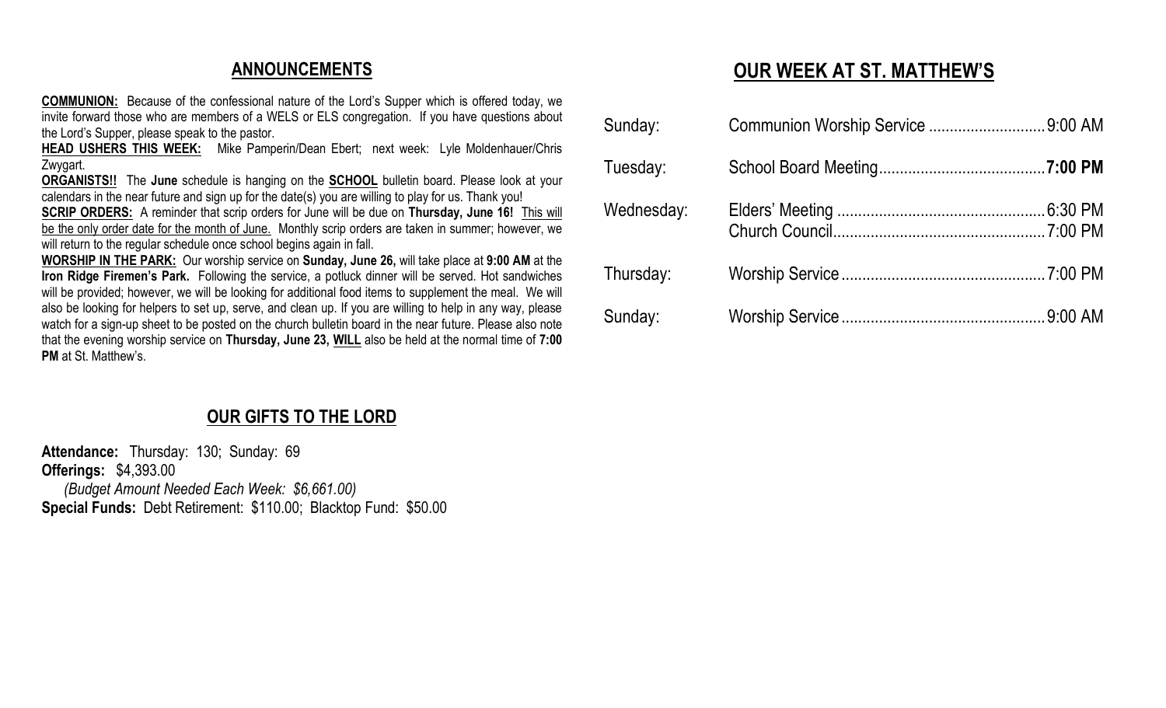## **ANNOUNCEMENTS**

**COMMUNION:** Because of the confessional nature of the Lord's Supper which is offered today, we invite forward those who are members of a WELS or ELS congregation. If you have questions about the Lord's Supper, please speak to the pastor.

**HEAD USHERS THIS WEEK:** Mike Pamperin/Dean Ebert; next week: Lyle Moldenhauer/Chris Zwygart.

**ORGANISTS!!** The June schedule is hanging on the **SCHOOL** bulletin board. Please look at your calendars in the near future and sign up for the date(s) you are willing to play for us. Thank you!

**SCRIP ORDERS:** A reminder that scrip orders for June will be due on **Thursday, June 16!** This will be the only order date for the month of June. Monthly scrip orders are taken in summer; however, we will return to the regular schedule once school begins again in fall.

**WORSHIP IN THE PARK:** Our worship service on **Sunday, June 26,** will take place at **9:00 AM** at the **Iron Ridge Firemen's Park.** Following the service, a potluck dinner will be served. Hot sandwiches will be provided; however, we will be looking for additional food items to supplement the meal. We will also be looking for helpers to set up, serve, and clean up. If you are willing to help in any way, please watch for a sign-up sheet to be posted on the church bulletin board in the near future. Please also note that the evening worship service on **Thursday, June 23, WILL** also be held at the normal time of **7:00 PM** at St. Matthew's.

## **OUR GIFTS TO THE LORD**

**Attendance:** Thursday: 130; Sunday: 69 **Offerings:** \$4,393.00  *(Budget Amount Needed Each Week: \$6,661.00)* **Special Funds:** Debt Retirement: \$110.00; Blacktop Fund: \$50.00

# **OUR WEEK AT ST. MATTHEW'S**

| Sunday:    |  |
|------------|--|
| Tuesday:   |  |
| Wednesday: |  |
| Thursday:  |  |
| Sunday:    |  |